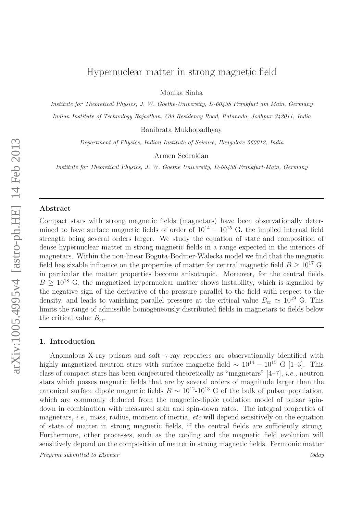# Hypernuclear matter in strong magnetic field

Monika Sinha

*Institute for Theoretical Physics, J. W. Goethe-University, D-60438 Frankfurt am Main, Germany Indian Institute of Technology Rajasthan, Old Residency Road, Ratanada, Jodhpur 342011, India*

Banibrata Mukhopadhyay

*Department of Physics, Indian Institute of Science, Bangalore 560012, India*

Armen Sedrakian

*Institute for Theoretical Physics, J. W. Goethe University, D-60438 Frankfurt-Main, Germany*

#### Abstract

Compact stars with strong magnetic fields (magnetars) have been observationally determined to have surface magnetic fields of order of  $10^{14} - 10^{15}$  G, the implied internal field strength being several orders larger. We study the equation of state and composition of dense hypernuclear matter in strong magnetic fields in a range expected in the interiors of magnetars. Within the non-linear Boguta-Bodmer-Walecka model we find that the magnetic field has sizable influence on the properties of matter for central magnetic field  $B > 10^{17}$  G, in particular the matter properties become anisotropic. Moreover, for the central fields  $B > 10^{18}$  G, the magnetized hypernuclear matter shows instability, which is signalled by the negative sign of the derivative of the pressure parallel to the field with respect to the density, and leads to vanishing parallel pressure at the critical value  $B_{cr} \simeq 10^{19}$  G. This limits the range of admissible homogeneously distributed fields in magnetars to fields below the critical value  $B_{cr}$ .

## 1. Introduction

Anomalous X-ray pulsars and soft  $\gamma$ -ray repeaters are observationally identified with highly magnetized neutron stars with surface magnetic field  $\sim 10^{14} - 10^{15}$  G [1–3]. This class of compact stars has been conjectured theoretically as "magnetars" [4–7], i.e., neutron stars which posses magnetic fields that are by several orders of magnitude larger than the canonical surface dipole magnetic fields  $B \sim 10^{12}$ -10<sup>13</sup> G of the bulk of pulsar population, which are commonly deduced from the magnetic-dipole radiation model of pulsar spindown in combination with measured spin and spin-down rates. The integral properties of magnetars, *i.e.*, mass, radius, moment of inertia, *etc* will depend sensitively on the equation of state of matter in strong magnetic fields, if the central fields are sufficiently strong. Furthermore, other processes, such as the cooling and the magnetic field evolution will sensitively depend on the composition of matter in strong magnetic fields. Fermionic matter

*Preprint submitted to Elsevier today*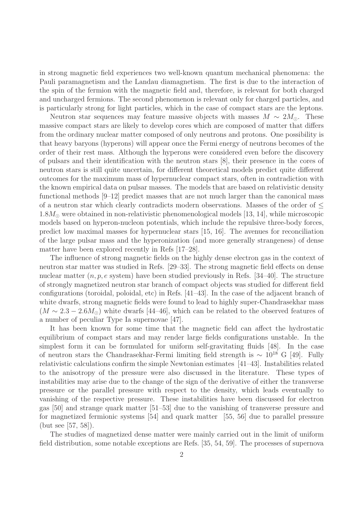in strong magnetic field experiences two well-known quantum mechanical phenomena: the Pauli paramagnetism and the Landau diamagnetism. The first is due to the interaction of the spin of the fermion with the magnetic field and, therefore, is relevant for both charged and uncharged fermions. The second phenomenon is relevant only for charged particles, and is particularly strong for light particles, which in the case of compact stars are the leptons.

Neutron star sequences may feature massive objects with masses  $M \sim 2M_{\odot}$ . These massive compact stars are likely to develop cores which are composed of matter that differs from the ordinary nuclear matter composed of only neutrons and protons. One possibility is that heavy baryons (hyperons) will appear once the Fermi energy of neutrons becomes of the order of their rest mass. Although the hyperons were considered even before the discovery of pulsars and their identification with the neutron stars [8], their presence in the cores of neutron stars is still quite uncertain, for different theoretical models predict quite different outcomes for the maximum mass of hypernuclear compact stars, often in contradiction with the known empirical data on pulsar masses. The models that are based on relativistic density functional methods [9–12] predict masses that are not much larger than the canonical mass of a neutron star which clearly contradicts modern observations. Masses of the order of  $\leq$  $1.8M_{\odot}$  were obtained in non-relativistic phenomenological models [13, 14], while microscopic models based on hyperon-nucleon potentials, which include the repulsive three-body forces, predict low maximal masses for hypernuclear stars [15, 16]. The avenues for reconciliation of the large pulsar mass and the hyperonization (and more generally strangeness) of dense matter have been explored recently in Refs [17–28].

The influence of strong magnetic fields on the highly dense electron gas in the context of neutron star matter was studied in Refs. [29–33]. The strong magnetic field effects on dense nuclear matter  $(n, p, e$  system) have been studied previously in Refs. [34–40]. The structure of strongly magnetized neutron star branch of compact objects was studied for different field configurations (toroidal, poloidal, etc) in Refs. [41–43]. In the case of the adjacent branch of white dwarfs, strong magnetic fields were found to lead to highly super-Chandrasekhar mass  $(M \sim 2.3 - 2.6 M_{\odot})$  white dwarfs [44–46], which can be related to the observed features of a number of peculiar Type Ia supernovae [47].

It has been known for some time that the magnetic field can affect the hydrostatic equilibrium of compact stars and may render large fields configurations unstable. In the simplest form it can be formulated for uniform self-gravitating fluids [48]. In the case of neutron stars the Chandrasekhar-Fermi limiting field strength is  $\sim 10^{18}$  G [49]. Fully relativistic calculations confirm the simple Newtonian estimates [41–43]. Instabilities related to the anisotropy of the pressure were also discussed in the literature. These types of instabilities may arise due to the change of the sign of the derivative of either the transverse pressure or the parallel pressure with respect to the density, which leads eventually to vanishing of the respective pressure. These instabilities have been discussed for electron gas [50] and strange quark matter [51–53] due to the vanishing of transverse pressure and for magnetized fermionic systems [54] and quark matter [55, 56] due to parallel pressure (but see [57, 58]).

The studies of magnetized dense matter were mainly carried out in the limit of uniform field distribution, some notable exceptions are Refs. [35, 54, 59]. The processes of supernova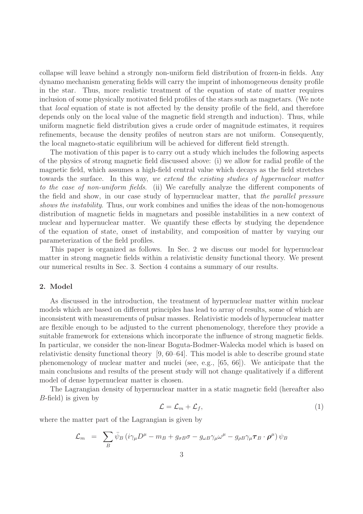collapse will leave behind a strongly non-uniform field distribution of frozen-in fields. Any dynamo mechanism generating fields will carry the imprint of inhomogeneous density profile in the star. Thus, more realistic treatment of the equation of state of matter requires inclusion of some physically motivated field profiles of the stars such as magnetars. (We note that local equation of state is not affected by the density profile of the field, and therefore depends only on the local value of the magnetic field strength and induction). Thus, while uniform magnetic field distribution gives a crude order of magnitude estimates, it requires refinements, because the density profiles of neutron stars are not uniform. Consequently, the local magneto-static equilibrium will be achieved for different field strength.

The motivation of this paper is to carry out a study which includes the following aspects of the physics of strong magnetic field discussed above: (i) we allow for radial profile of the magnetic field, which assumes a high-field central value which decays as the field stretches towards the surface. In this way, we extend the existing studies of hypernuclear matter to the case of non-uniform fields. (ii) We carefully analyze the different components of the field and show, in our case study of hypernuclear matter, that the parallel pressure shows the *instability*. Thus, our work combines and unifies the ideas of the non-homogenous distribution of magnetic fields in magnetars and possible instabilities in a new context of nuclear and hypernuclear matter. We quantify these effects by studying the dependence of the equation of state, onset of instability, and composition of matter by varying our parameterization of the field profiles.

This paper is organized as follows. In Sec. 2 we discuss our model for hypernuclear matter in strong magnetic fields within a relativistic density functional theory. We present our numerical results in Sec. 3. Section 4 contains a summary of our results.

# 2. Model

As discussed in the introduction, the treatment of hypernuclear matter within nuclear models which are based on different principles has lead to array of results, some of which are inconsistent with measurements of pulsar masses. Relativistic models of hypernuclear matter are flexible enough to be adjusted to the current phenomenology, therefore they provide a suitable framework for extensions which incorporate the influence of strong magnetic fields. In particular, we consider the non-linear Boguta-Bodmer-Walecka model which is based on relativistic density functional theory [9, 60–64]. This model is able to describe ground state phenomenology of nuclear matter and nuclei (see, e.g., [65, 66]). We anticipate that the main conclusions and results of the present study will not change qualitatively if a different model of dense hypernuclear matter is chosen.

The Lagrangian density of hypernuclear matter in a static magnetic field (hereafter also B-field) is given by

$$
\mathcal{L} = \mathcal{L}_m + \mathcal{L}_f,\tag{1}
$$

where the matter part of the Lagrangian is given by

$$
\mathcal{L}_m = \sum_B \bar{\psi}_B \left( i \gamma_\mu D^\mu - m_B + g_{\sigma B} \sigma - g_{\omega B} \gamma_\mu \omega^\mu - g_{\rho B} \gamma_\mu \tau_B \cdot \boldsymbol{\rho}^\mu \right) \psi_B
$$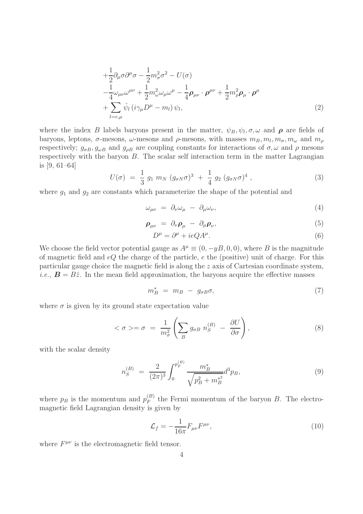$$
+\frac{1}{2}\partial_{\mu}\sigma\partial^{\mu}\sigma - \frac{1}{2}m_{\sigma}^{2}\sigma^{2} - U(\sigma)
$$
  
\n
$$
-\frac{1}{4}\omega_{\mu\nu}\omega^{\mu\nu} + \frac{1}{2}m_{\omega}^{2}\omega_{\mu}\omega^{\mu} - \frac{1}{4}\rho_{\mu\nu}\cdot\rho^{\mu\nu} + \frac{1}{2}m_{\rho}^{2}\rho_{\mu}\cdot\rho^{\mu}
$$
  
\n
$$
+\sum_{l=e,\mu}\bar{\psi}_{l}\left(i\gamma_{\mu}D^{\mu} - m_{l}\right)\psi_{l},
$$
\n(2)

where the index B labels baryons present in the matter,  $\psi_B, \psi_l, \sigma, \omega$  and  $\rho$  are fields of baryons, leptons,  $\sigma$ -mesons,  $\omega$ -mesons and  $\rho$ -mesons, with masses  $m_B, m_l, m_\sigma, m_\omega$  and  $m_\rho$ respectively;  $g_{\sigma B}$ ,  $g_{\omega B}$  and  $g_{\rho B}$  are coupling constants for interactions of  $\sigma$ ,  $\omega$  and  $\rho$  mesons respectively with the baryon  $B$ . The scalar self interaction term in the matter Lagrangian is [9, 61–64]

$$
U(\sigma) = \frac{1}{3} g_1 m_N (g_{\sigma N} \sigma)^3 + \frac{1}{4} g_2 (g_{\sigma N} \sigma)^4 , \qquad (3)
$$

where  $g_1$  and  $g_2$  are constants which parameterize the shape of the potential and

$$
\omega_{\mu\nu} = \partial_{\nu}\omega_{\mu} - \partial_{\mu}\omega_{\nu},\tag{4}
$$

$$
\rho_{\mu\nu} = \partial_{\nu}\rho_{\mu} - \partial_{\mu}\rho_{\nu}, \qquad (5)
$$

$$
D^{\mu} = \partial^{\mu} + ieQA^{\mu}.
$$
 (6)

We choose the field vector potential gauge as  $A^{\mu} \equiv (0, -yB, 0, 0)$ , where B is the magnitude of magnetic field and  $eQ$  the charge of the particle,  $e$  the (positive) unit of charge. For this particular gauge choice the magnetic field is along the z axis of Cartesian coordinate system, *i.e.*,  $\mathbf{B} = B\hat{z}$ . In the mean field approximation, the baryons acquire the effective masses

$$
m_B^* = m_B - g_{\sigma B} \sigma, \tag{7}
$$

where  $\sigma$  is given by its ground state expectation value

$$
\langle \sigma \rangle = \sigma = \frac{1}{m_{\sigma}^2} \left( \sum_B g_{\sigma B} \ n_S^{(B)} - \frac{\partial U}{\partial \sigma} \right),\tag{8}
$$

with the scalar density

$$
n_S^{(B)} = \frac{2}{(2\pi)^3} \int_0^{p_F^{(B)}} \frac{m_B^*}{\sqrt{p_B^2 + m_B^{*2}}} d^3 p_B,
$$
\n(9)

where  $p_B$  is the momentum and  $p_F^{(B)}$  $F_F^{(B)}$  the Fermi momentum of the baryon B. The electromagnetic field Lagrangian density is given by

$$
\mathcal{L}_f = -\frac{1}{16\pi} F_{\mu\nu} F^{\mu\nu},\tag{10}
$$

where  $F^{\mu\nu}$  is the electromagnetic field tensor.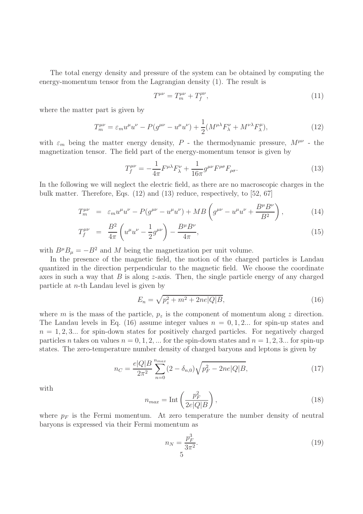The total energy density and pressure of the system can be obtained by computing the energy-momentum tensor from the Lagrangian density (1). The result is

$$
T^{\mu\nu} = T^{\mu\nu}_m + T^{\mu\nu}_f,\tag{11}
$$

where the matter part is given by

$$
T_m^{\mu\nu} = \varepsilon_m u^\mu u^\nu - P(g^{\mu\nu} - u^\mu u^\nu) + \frac{1}{2} (M^{\mu\lambda} F_\lambda^\nu + M^{\nu\lambda} F_\lambda^\mu),\tag{12}
$$

with  $\varepsilon_m$  being the matter energy density,  $P$  - the thermodynamic pressure,  $M^{\mu\nu}$  - the magnetization tensor. The field part of the energy-momentum tensor is given by

$$
T_f^{\mu\nu} = -\frac{1}{4\pi} F^{\mu\lambda} F_\lambda^{\nu} + \frac{1}{16\pi} g^{\mu\nu} F^{\rho\sigma} F_{\rho\sigma}.
$$
 (13)

In the following we will neglect the electric field, as there are no macroscopic charges in the bulk matter. Therefore, Eqs. (12) and (13) reduce, respectively, to [52, 67]

$$
T_m^{\mu\nu} = \varepsilon_m u^{\mu} u^{\nu} - P(g^{\mu\nu} - u^{\mu} u^{\nu}) + MB \left( g^{\mu\nu} - u^{\mu} u^{\nu} + \frac{B^{\mu} B^{\nu}}{B^2} \right), \tag{14}
$$

$$
T_f^{\mu\nu} = \frac{B^2}{4\pi} \left( u^{\mu} u^{\nu} - \frac{1}{2} g^{\mu\nu} \right) - \frac{B^{\mu} B^{\nu}}{4\pi}, \tag{15}
$$

with  $B^{\mu}B_{\mu} = -B^2$  and M being the magnetization per unit volume.

In the presence of the magnetic field, the motion of the charged particles is Landau quantized in the direction perpendicular to the magnetic field. We choose the coordinate axes in such a way that  $B$  is along z-axis. Then, the single particle energy of any charged particle at n-th Landau level is given by

$$
E_n = \sqrt{p_z^2 + m^2 + 2ne|Q|B},\tag{16}
$$

where m is the mass of the particle,  $p_z$  is the component of momentum along z direction. The Landau levels in Eq. (16) assume integer values  $n = 0, 1, 2...$  for spin-up states and  $n = 1, 2, 3...$  for spin-down states for positively charged particles. For negatively charged particles n takes on values  $n = 0, 1, 2, ...$  for the spin-down states and  $n = 1, 2, 3...$  for spin-up states. The zero-temperature number density of charged baryons and leptons is given by

$$
n_C = \frac{e|Q|B}{2\pi^2} \sum_{n=0}^{n_{max}} (2 - \delta_{n,0}) \sqrt{p_F^2 - 2ne|Q|B},\tag{17}
$$

with

$$
n_{max} = \text{Int}\left(\frac{p_F^2}{2e|Q|B}\right),\tag{18}
$$

where  $p_F$  is the Fermi momentum. At zero temperature the number density of neutral baryons is expressed via their Fermi momentum as

$$
n_N = \frac{p_F^3}{3\pi^2}.
$$
\n(19)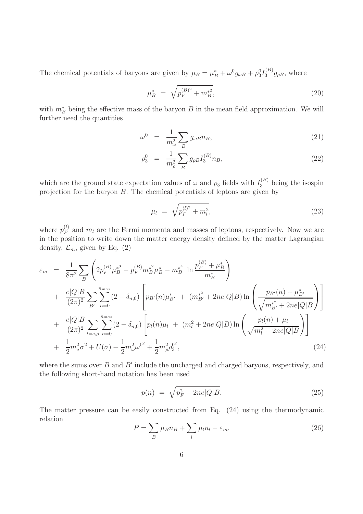The chemical potentials of baryons are given by  $\mu_B = \mu_B^* + \omega^0 g_{\omega B} + \rho_3^0 I_3^{(B)}$  $3^{(D)}g_{\rho B}$ , where

$$
\mu_B^* = \sqrt{p_F^{(B)^2} + m_B^*},\tag{20}
$$

with  $m_B^*$  being the effective mass of the baryon B in the mean field approximation. We will further need the quantities

$$
\omega^0 = \frac{1}{m_\omega^2} \sum_B g_{\omega B} n_B, \qquad (21)
$$

$$
\rho_3^0 = \frac{1}{m_\rho^2} \sum_B g_{\rho B} I_3^{(B)} n_B, \tag{22}
$$

which are the ground state expectation values of  $\omega$  and  $\rho_3$  fields with  $I_3^{(B)}$  being the isospin projection for the baryon  $B$ . The chemical potentials of leptons are given by

$$
\mu_l = \sqrt{p_F^{(l)^2} + m_l^2},\tag{23}
$$

where  $p_F^{(l)}$  $F_F^{(t)}$  and  $m_l$  are the Fermi momenta and masses of leptons, respectively. Now we are in the position to write down the matter energy density defined by the matter Lagrangian density,  $\mathcal{L}_m$ , given by Eq. (2)

$$
\varepsilon_{m} = \frac{1}{8\pi^{2}} \sum_{B} \left( 2p_{F}^{(B)} \mu_{B}^{*^{3}} - p_{F}^{(B)} m_{B}^{*^{2}} \mu_{B}^{*} - m_{B}^{*^{4}} \ln \frac{p_{F}^{(B)} + \mu_{B}^{*}}{m_{B}^{*}} \right) \n+ \frac{e|Q|B}{(2\pi)^{2}} \sum_{B'} \sum_{n=0}^{n_{max}} (2 - \delta_{n,0}) \left[ p_{B'}(n) \mu_{B'}^{*} + (m_{B'}^{*^{2}} + 2ne|Q|B) \ln \left( \frac{p_{B'}(n) + \mu_{B'}^{*}}{\sqrt{m_{B'}^{*^{2}} + 2ne|Q|B}} \right) \right] \n+ \frac{e|Q|B}{(2\pi)^{2}} \sum_{l=e,\mu} \sum_{n=0}^{n_{max}} (2 - \delta_{n,0}) \left[ p_{l}(n) \mu_{l} + (m_{l}^{2} + 2ne|Q|B) \ln \left( \frac{p_{l}(n) + \mu_{l}}{\sqrt{m_{l}^{2} + 2ne|Q|B}} \right) \right] \n+ \frac{1}{2} m_{\sigma}^{2} \sigma^{2} + U(\sigma) + \frac{1}{2} m_{\omega}^{2} \omega^{0^{2}} + \frac{1}{2} m_{\rho}^{2} \rho_{3}^{0^{2}},
$$
\n(24)

where the sums over  $B$  and  $B'$  include the uncharged and charged baryons, respectively, and the following short-hand notation has been used

$$
p(n) = \sqrt{p_F^2 - 2ne|Q|B}.
$$
\n(25)

The matter pressure can be easily constructed from Eq. (24) using the thermodynamic relation

$$
P = \sum_{B} \mu_B n_B + \sum_{l} \mu_l n_l - \varepsilon_m. \tag{26}
$$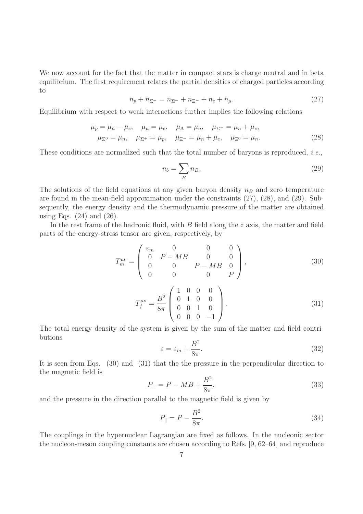We now account for the fact that the matter in compact stars is charge neutral and in beta equilibrium. The first requirement relates the partial densities of charged particles according to

$$
n_p + n_{\Sigma^+} = n_{\Sigma^-} + n_{\Xi^-} + n_e + n_\mu. \tag{27}
$$

Equilibrium with respect to weak interactions further implies the following relations

$$
\mu_p = \mu_n - \mu_e, \quad \mu_\mu = \mu_e, \quad \mu_\Lambda = \mu_n, \quad \mu_{\Sigma^-} = \mu_n + \mu_e, \n\mu_{\Sigma^0} = \mu_n, \quad \mu_{\Sigma^+} = \mu_p, \quad \mu_{\Xi^-} = \mu_n + \mu_e, \quad \mu_{\Xi^0} = \mu_n.
$$
\n(28)

These conditions are normalized such that the total number of baryons is reproduced, i.e.,

$$
n_b = \sum_B n_B. \tag{29}
$$

The solutions of the field equations at any given baryon density  $n_B$  and zero temperature are found in the mean-field approximation under the constraints (27), (28), and (29). Subsequently, the energy density and the thermodynamic pressure of the matter are obtained using Eqs.  $(24)$  and  $(26)$ .

In the rest frame of the hadronic fluid, with  $B$  field along the  $z$  axis, the matter and field parts of the energy-stress tensor are given, respectively, by

$$
T_m^{\mu\nu} = \begin{pmatrix} \varepsilon_m & 0 & 0 & 0\\ 0 & P - MB & 0 & 0\\ 0 & 0 & P - MB & 0\\ 0 & 0 & 0 & P \end{pmatrix},
$$
(30)

$$
T_f^{\mu\nu} = \frac{B^2}{8\pi} \begin{pmatrix} 1 & 0 & 0 & 0 \\ 0 & 1 & 0 & 0 \\ 0 & 0 & 1 & 0 \\ 0 & 0 & 0 & -1 \end{pmatrix} . \tag{31}
$$

The total energy density of the system is given by the sum of the matter and field contributions

$$
\varepsilon = \varepsilon_m + \frac{B^2}{8\pi}.\tag{32}
$$

It is seen from Eqs. (30) and (31) that the the pressure in the perpendicular direction to the magnetic field is

$$
P_{\perp} = P - MB + \frac{B^2}{8\pi},\tag{33}
$$

and the pressure in the direction parallel to the magnetic field is given by

$$
P_{\parallel} = P - \frac{B^2}{8\pi}.
$$
\n(34)

The couplings in the hypernuclear Lagrangian are fixed as follows. In the nucleonic sector the nucleon-meson coupling constants are chosen according to Refs. [9, 62–64] and reproduce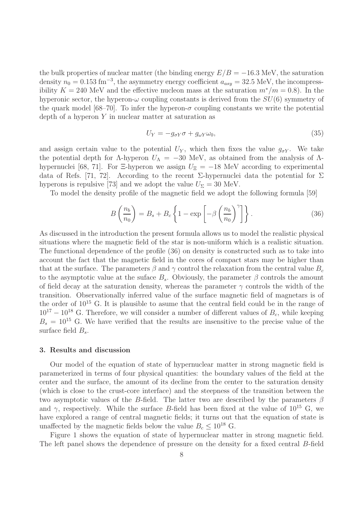the bulk properties of nuclear matter (the binding energy  $E/B = -16.3$  MeV, the saturation density  $n_0 = 0.153$  fm<sup>-3</sup>, the asymmetry energy coefficient  $a_{asy} = 32.5$  MeV, the incompressibility K = 240 MeV and the effective nucleon mass at the saturation  $m^*/m = 0.8$ ). In the hyperonic sector, the hyperon- $\omega$  coupling constants is derived from the  $SU(6)$  symmetry of the quark model [68–70]. To infer the hyperon- $\sigma$  coupling constants we write the potential depth of a hyperon  $Y$  in nuclear matter at saturation as

$$
U_Y = -g_{\sigma Y} \sigma + g_{\omega Y} \omega_0,\tag{35}
$$

and assign certain value to the potential  $U_Y$ , which then fixes the value  $g_{\sigma Y}$ . We take the potential depth for  $\Lambda$ -hyperon  $U_{\Lambda} = -30$  MeV, as obtained from the analysis of  $\Lambda$ hypernuclei [68, 71]. For  $\Xi$ -hyperon we assign  $U_{\Xi} = -18$  MeV according to experimental data of Refs. [71, 72]. According to the recent  $\Sigma$ -hypernuclei data the potential for  $\Sigma$ hyperons is repulsive [73] and we adopt the value  $U_{\Sigma} = 30$  MeV.

To model the density profile of the magnetic field we adopt the following formula [59]

$$
B\left(\frac{n_b}{n_0}\right) = B_s + B_c \left\{ 1 - \exp\left[-\beta \left(\frac{n_b}{n_0}\right)^{\gamma}\right] \right\}.
$$
 (36)

As discussed in the introduction the present formula allows us to model the realistic physical situations where the magnetic field of the star is non-uniform which is a realistic situation. The functional dependence of the profile (36) on density is constructed such as to take into account the fact that the magnetic field in the cores of compact stars may be higher than that at the surface. The parameters  $\beta$  and  $\gamma$  control the relaxation from the central value  $B_c$ to the asymptotic value at the suface  $B_s$ . Obviously, the parameter  $\beta$  controls the amount of field decay at the saturation density, whereas the parameter  $\gamma$  controls the width of the transition. Observationally inferred value of the surface magnetic field of magnetars is of the order of  $10^{15}$  G. It is plausible to asume that the central field could be in the range of  $10^{17} - 10^{18}$  G. Therefore, we will consider a number of different values of  $B<sub>c</sub>$ , while keeping  $B_s = 10^{15}$  G. We have verified that the results are insensitive to the precise value of the surface field  $B_s$ .

## 3. Results and discussion

Our model of the equation of state of hypernuclear matter in strong magnetic field is parameterized in terms of four physical quantities: the boundary values of the field at the center and the surface, the amount of its decline from the center to the saturation density (which is close to the crust-core interface) and the steepness of the transition between the two asymptotic values of the B-field. The latter two are described by the parameters  $\beta$ and  $\gamma$ , respectively. While the surface B-field has been fixed at the value of  $10^{15}$  G, we have explored a range of central magnetic fields; it turns out that the equation of state is unaffected by the magnetic fields below the value  $B_c \leq 10^{18}$  G.

Figure 1 shows the equation of state of hypernuclear matter in strong magnetic field. The left panel shows the dependence of pressure on the density for a fixed central B-field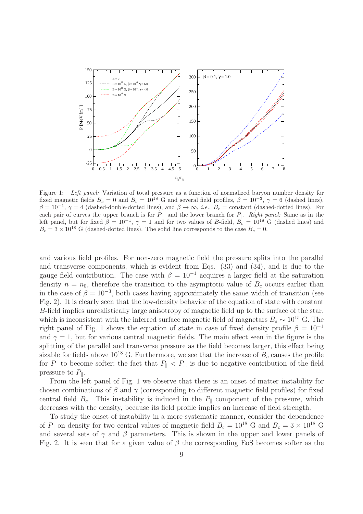

Figure 1: *Left panel:* Variation of total pressure as a function of normalized baryon number density for fixed magnetic fields  $B_c = 0$  and  $B_c = 10^{18}$  G and several field profiles,  $\beta = 10^{-3}$ ,  $\gamma = 6$  (dashed lines),  $\beta = 10^{-1}$ ,  $\gamma = 4$  (dashed-double-dotted lines), and  $\beta \to \infty$ , *i.e.*,  $B_c$  = constant (dashed-dotted lines). For each pair of curves the upper branch is for  $P_{\perp}$  and the lower branch for  $P_{\parallel}$ . *Right panel:* Same as in the left panel, but for fixed  $\beta = 10^{-1}$ ,  $\gamma = 1$  and for two values of B-field,  $B_c = 10^{18}$  G (dashed lines) and  $B<sub>c</sub> = 3 \times 10^{18}$  G (dashed-dotted lines). The solid line corresponds to the case  $B<sub>c</sub> = 0$ .

and various field profiles. For non-zero magnetic field the pressure splits into the parallel and transverse components, which is evident from Eqs. (33) and (34), and is due to the gauge field contribution. The case with  $\beta = 10^{-1}$  acquires a larger field at the saturation density  $n = n_0$ , therefore the transition to the asymptotic value of  $B_c$  occurs earlier than in the case of  $\beta = 10^{-3}$ , both cases having approximately the same width of transition (see Fig. 2). It is clearly seen that the low-density behavior of the equation of state with constant B-field implies unrealistically large anisotropy of magnetic field up to the surface of the star, which is inconsistent with the inferred surface magnetic field of magnetars  $B_s \sim 10^{15}$  G. The right panel of Fig. 1 shows the equation of state in case of fixed density profile  $\beta = 10^{-1}$ and  $\gamma = 1$ , but for various central magnetic fields. The main effect seen in the figure is the splitting of the parallel and transverse pressure as the field becomes larger, this effect being sizable for fields above  $10^{18}$  G. Furthermore, we see that the increase of  $B<sub>c</sub>$  causes the profile for  $P_{\parallel}$  to become softer; the fact that  $P_{\parallel} < P_{\perp}$  is due to negative contribution of the field pressure to  $P_{\parallel}$ .

From the left panel of Fig. 1 we observe that there is an onset of matter instability for chosen combinations of  $\beta$  and  $\gamma$  (corresponding to different magnetic field profiles) for fixed central field  $B_c$ . This instability is induced in the  $P_{\parallel}$  component of the pressure, which decreases with the density, because its field profile implies an increase of field strength.

To study the onset of instability in a more systematic manner, consider the dependence of  $P_{\parallel}$  on density for two central values of magnetic field  $B_c = 10^{18}$  G and  $B_c = 3 \times 10^{18}$  G and several sets of  $\gamma$  and  $\beta$  parameters. This is shown in the upper and lower panels of Fig. 2. It is seen that for a given value of  $\beta$  the corresponding EoS becomes softer as the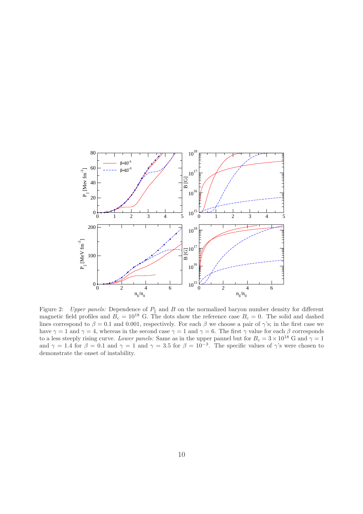

Figure 2: *Upper panels:* Dependence of  $P_{\parallel}$  and B on the normalized baryon number density for different magnetic field profiles and  $B_c = 10^{18}$  G. The dots show the reference case  $B_c = 0$ . The solid and dashed lines correspond to  $\beta = 0.1$  and 0.001, respectively. For each  $\beta$  we choose a pair of  $\gamma$ 's; in the first case we have  $\gamma = 1$  and  $\gamma = 4$ , whereas in the second case  $\gamma = 1$  and  $\gamma = 6$ . The first  $\gamma$  value for each  $\beta$  corresponds to a less steeply rising curve. *Lower panels:* Same as in the upper pannel but for  $B_c = 3 \times 10^{18}$  G and  $\gamma = 1$ and  $\gamma = 1.4$  for  $\beta = 0.1$  and  $\gamma = 1$  and  $\gamma = 3.5$  for  $\beta = 10^{-3}$ . The specific values of  $\gamma$ 's were chosen to demonstrate the onset of instability.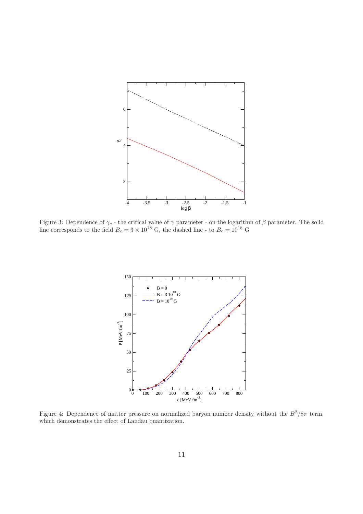

Figure 3: Dependence of  $\gamma_c$  - the critical value of  $\gamma$  parameter - on the logarithm of  $\beta$  parameter. The solid line corresponds to the field  $B_c = 3 \times 10^{18}$  G, the dashed line - to  $B_c = 10^{18}$  G



Figure 4: Dependence of matter pressure on normalized baryon number density without the  $B^2/8\pi$  term, which demonstrates the effect of Landau quantization.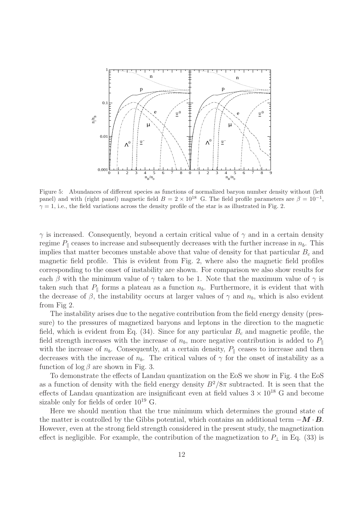

Figure 5: Abundances of different species as functions of normalized baryon number density without (left panel) and with (right panel) magnetic field  $B = 2 \times 10^{18}$  G. The field profile parameters are  $\beta = 10^{-1}$ ,  $\gamma = 1$ , i.e., the field variations across the density profile of the star is as illustrated in Fig. 2.

 $\gamma$  is increased. Consequently, beyond a certain critical value of  $\gamma$  and in a certain density regime  $P_{\parallel}$  ceases to increase and subsequently decreases with the further increase in  $n_b$ . This implies that matter becomes unstable above that value of density for that particular  $B_c$  and magnetic field profile. This is evident from Fig. 2, where also the magnetic field profiles corresponding to the onset of instability are shown. For comparison we also show results for each β with the minimum value of  $\gamma$  taken to be 1. Note that the maximum value of  $\gamma$  is taken such that  $P_{\parallel}$  forms a plateau as a function  $n_b$ . Furthermore, it is evident that with the decrease of  $\beta$ , the instability occurs at larger values of  $\gamma$  and  $n_b$ , which is also evident from Fig 2.

The instability arises due to the negative contribution from the field energy density (pressure) to the pressures of magnetized baryons and leptons in the direction to the magnetic field, which is evident from Eq.  $(34)$ . Since for any particular  $B<sub>c</sub>$  and magnetic profile, the field strength increases with the increase of  $n_b$ , more negative contribution is added to  $P_{\parallel}$ with the increase of  $n_b$ . Consequently, at a certain density,  $P_{\parallel}$  ceases to increase and then decreases with the increase of  $n_b$ . The critical values of  $\gamma$  for the onset of instability as a function of  $\log \beta$  are shown in Fig. 3.

To demonstrate the effects of Landau quantization on the EoS we show in Fig. 4 the EoS as a function of density with the field energy density  $B^2/8\pi$  subtracted. It is seen that the effects of Landau quantization are insignificant even at field values  $3 \times 10^{18}$  G and become sizable only for fields of order  $10^{19}$  G.

Here we should mention that the true minimum which determines the ground state of the matter is controlled by the Gibbs potential, which contains an additional term  $-M \cdot B$ . However, even at the strong field strength considered in the present study, the magnetization effect is negligible. For example, the contribution of the magnetization to  $P_{\perp}$  in Eq. (33) is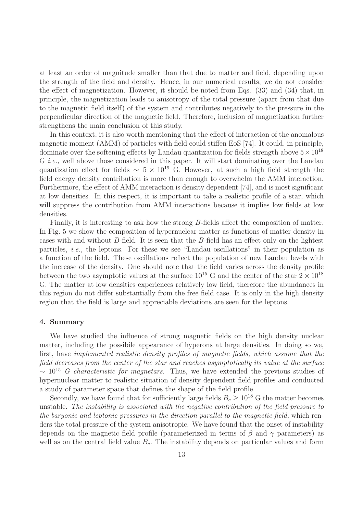at least an order of magnitude smaller than that due to matter and field, depending upon the strength of the field and density. Hence, in our numerical results, we do not consider the effect of magnetization. However, it should be noted from Eqs. (33) and (34) that, in principle, the magnetization leads to anisotropy of the total pressure (apart from that due to the magnetic field itself) of the system and contributes negatively to the pressure in the perpendicular direction of the magnetic field. Therefore, inclusion of magnetization further strengthens the main conclusion of this study.

In this context, it is also worth mentioning that the effect of interaction of the anomalous magnetic moment (AMM) of particles with field could stiffen EoS [74]. It could, in principle, dominate over the softening effects by Landau quantization for fields strength above  $5 \times 10^{18}$ G i.e., well above those considered in this paper. It will start dominating over the Landau quantization effect for fields  $\sim 5 \times 10^{19}$  G. However, at such a high field strength the field energy density contribution is more than enough to overwhelm the AMM interaction. Furthermore, the effect of AMM interaction is density dependent [74], and is most significant at low densities. In this respect, it is important to take a realistic profile of a star, which will suppress the contribution from AMM interactions because it implies low fields at low densities.

Finally, it is interesting to ask how the strong B-fields affect the composition of matter. In Fig. 5 we show the composition of hypernuclear matter as functions of matter density in cases with and without B-field. It is seen that the B-field has an effect only on the lightest particles, i.e., the leptons. For these we see "Landau oscillations" in their population as a function of the field. These oscillations reflect the population of new Landau levels with the increase of the density. One should note that the field varies across the density profile between the two asymptotic values at the surface  $10^{15}$  G and the center of the star  $2 \times 10^{18}$ G. The matter at low densities experiences relatively low field, therefore the abundances in this region do not differ substantially from the free field case. It is only in the high density region that the field is large and appreciable deviations are seen for the leptons.

### 4. Summary

We have studied the influence of strong magnetic fields on the high density nuclear matter, including the possibile appearance of hyperons at large densities. In doing so we, first, have implemented realistic density profiles of magnetic fields, which assume that the field decreases from the center of the star and reaches asymptotically its value at the surface  $\sim 10^{15}$  G characteristic for magnetars. Thus, we have extended the previous studies of hypernuclear matter to realistic situation of density dependent field profiles and conducted a study of parameter space that defines the shape of the field profile.

Secondly, we have found that for sufficiently large fields  $B_c \geq 10^{18}$  G the matter becomes unstable. The instability is associated with the negative contribution of the field pressure to the baryonic and leptonic pressures in the direction parallel to the magnetic field, which renders the total pressure of the system anisotropic. We have found that the onset of instability depends on the magnetic field profile (parameterized in terms of  $\beta$  and  $\gamma$  parameters) as well as on the central field value  $B<sub>c</sub>$ . The instability depends on particular values and form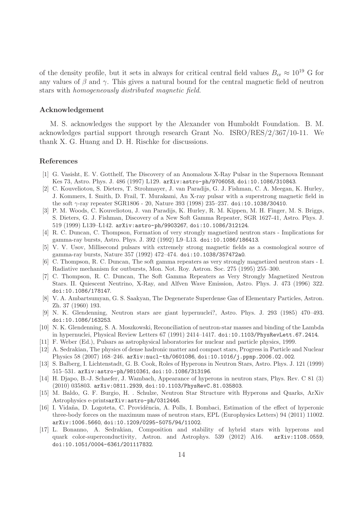of the density profile, but it sets in always for critical central field values  $B_{cr} \approx 10^{19}$  G for any values of  $\beta$  and  $\gamma$ . This gives a natural bound for the central magnetic field of neutron stars with homogeneously distributed magnetic field.

# Acknowledgement

M. S. acknowledges the support by the Alexander von Humboldt Foundation. B. M. acknowledges partial support through research Grant No. ISRO/RES/2/367/10-11. We thank X. G. Huang and D. H. Rischke for discussions.

## References

- [1] G. Vasisht, E. V. Gotthelf, The Discovery of an Anomalous X-Ray Pulsar in the Supernova Remnant Kes 73, Astro. Phys. J. 486 (1997) L129. arXiv:astro-ph/9706058, doi:10.1086/310843.
- [2] C. Kouveliotou, S. Dieters, T. Strohmayer, J. van Paradijs, G. J. Fishman, C. A. Meegan, K. Hurley, J. Kommers, I. Smith, D. Frail, T. Murakami, An X-ray pulsar with a superstrong magnetic field in the soft γ-ray repeater SGR1806 - 20, Nature 393 (1998) 235–237. doi:10.1038/30410.
- [3] P. M. Woods, C. Kouveliotou, J. van Paradijs, K. Hurley, R. M. Kippen, M. H. Finger, M. S. Briggs, S. Dieters, G. J. Fishman, Discovery of a New Soft Gamma Repeater, SGR 1627-41, Astro. Phys. J. 519 (1999) L139–L142. arXiv:astro-ph/9903267, doi:10.1086/312124.
- [4] R. C. Duncan, C. Thompson, Formation of very strongly magnetized neutron stars Implications for gamma-ray bursts, Astro. Phys. J. 392 (1992) L9–L13. doi:10.1086/186413.
- [5] V. V. Usov, Millisecond pulsars with extremely strong magnetic fields as a cosmological source of gamma-ray bursts, Nature 357 (1992) 472–474. doi:10.1038/357472a0.
- [6] C. Thompson, R. C. Duncan, The soft gamma repeaters as very strongly magnetized neutron stars I. Radiative mechanism for outbursts, Mon. Not. Roy. Astron. Soc. 275 (1995) 255–300.
- [7] C. Thompson, R. C. Duncan, The Soft Gamma Repeaters as Very Strongly Magnetized Neutron Stars. II. Quiescent Neutrino, X-Ray, and Alfven Wave Emission, Astro. Phys. J. 473 (1996) 322. doi:10.1086/178147.
- [8] V. A. Ambartsumyan, G. S. Saakyan, The Degenerate Superdense Gas of Elementary Particles, Astron. Zh. 37 (1960) 193.
- [9] N. K. Glendenning, Neutron stars are giant hypernuclei?, Astro. Phys. J. 293 (1985) 470–493. doi:10.1086/163253.
- [10] N. K. Glendenning, S. A. Moszkowski, Reconciliation of neutron-star masses and binding of the Lambda in hypernuclei, Physical Review Letters 67 (1991) 2414–1417. doi:10.1103/PhysRevLett.67.2414.
- [11] F. Weber (Ed.), Pulsars as astrophysical laboratories for nuclear and particle physics, 1999.
- [12] A. Sedrakian, The physics of dense hadronic matter and compact stars, Progress in Particle and Nuclear Physics 58 (2007) 168–246. arXiv:nucl-th/0601086, doi:10.1016/j.ppnp.2006.02.002.
- [13] S. Balberg, I. Lichtenstadt, G. B. Cook, Roles of Hyperons in Neutron Stars, Astro. Phys. J. 121 (1999) 515–531. arXiv:astro-ph/9810361, doi:10.1086/313196.
- [14] H. Djapo, B.-J. Schaefer, J. Wambach, Appearance of hyperons in neutron stars, Phys. Rev. C 81 (3) (2010) 035803. arXiv:0811.2939, doi:10.1103/PhysRevC.81.035803.
- [15] M. Baldo, G. F. Burgio, H. . Schulze, Neutron Star Structure with Hyperons and Quarks, ArXiv Astrophysics e-printsarXiv:astro-ph/0312446.
- [16] I. Vidaña, D. Logoteta, C. Providência, A. Polls, I. Bombaci, Estimation of the effect of hyperonic three-body forces on the maximum mass of neutron stars, EPL (Europhysics Letters) 94 (2011) 11002. arXiv:1006.5660, doi:10.1209/0295-5075/94/11002.
- [17] L. Bonanno, A. Sedrakian, Composition and stability of hybrid stars with hyperons and quark color-superconductivity, Astron. and Astrophys. 539 (2012) A16. arXiv:1108.0559, doi:10.1051/0004-6361/201117832.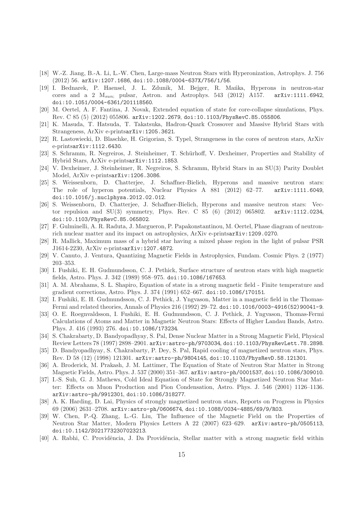- [18] W.-Z. Jiang, B.-A. Li, L.-W. Chen, Large-mass Neutron Stars with Hyperonization, Astrophys. J. 756 (2012) 56. arXiv:1207.1686, doi:10.1088/0004-637X/756/1/56.
- [19] I. Bednarek, P. Haensel, J. L. Zdunik, M. Bejger, R. Mańka, Hyperons in neutron-star cores and a 2  $M_{sun}$ ; pulsar, Astron. and Astrophys. 543 (2012) A157. arXiv:1111.6942, doi:10.1051/0004-6361/201118560.
- [20] M. Oertel, A. F. Fantina, J. Novak, Extended equation of state for core-collapse simulations, Phys. Rev. C 85 (5) (2012) 055806. arXiv:1202.2679, doi:10.1103/PhysRevC.85.055806.
- [21] K. Masuda, T. Hatsuda, T. Takatsuka, Hadron-Quark Crossover and Massive Hybrid Stars with Strangeness, ArXiv e-printsarXiv:1205.3621.
- [22] R. Lastowiecki, D. Blaschke, H. Grigorian, S. Typel, Strangeness in the cores of neutron stars, ArXiv e-printsarXiv:1112.6430.
- [23] S. Schramm, R. Negreiros, J. Steinheimer, T. Schürhoff, V. Dexheimer, Properties and Stability of Hybrid Stars, ArXiv e-printsarXiv:1112.1853.
- [24] V. Dexheimer, J. Steinheimer, R. Negreiros, S. Schramm, Hybrid Stars in an SU(3) Parity Doublet Model, ArXiv e-printsarXiv:1206.3086.
- [25] S. Weissenborn, D. Chatterjee, J. Schaffner-Bielich, Hyperons and massive neutron stars: The role of hyperon potentials, Nuclear Physics A 881 (2012) 62–77. arXiv:1111.6049, doi:10.1016/j.nuclphysa.2012.02.012.
- [26] S. Weissenborn, D. Chatterjee, J. Schaffner-Bielich, Hyperons and massive neutron stars: Vector repulsion and SU(3) symmetry, Phys. Rev. C 85 (6) (2012) 065802. arXiv:1112.0234, doi:10.1103/PhysRevC.85.065802.
- [27] F. Gulminelli, A. R. Raduta, J. Margueron, P. Papakonstantinou, M. Oertel, Phase diagram of neutronrich nuclear matter and its impact on astrophysics, ArXiv e-printsarXiv:1209.0270.
- [28] R. Mallick, Maximum mass of a hybrid star having a mixed phase region in the light of pulsar PSR J1614-2230, ArXiv e-printsarXiv:1207.4872.
- [29] V. Canuto, J. Ventura, Quantizing Magnetic Fields in Astrophysics, Fundam. Cosmic Phys. 2 (1977) 203–353.
- [30] I. Fushiki, E. H. Gudmundsson, C. J. Pethick, Surface structure of neutron stars with high magnetic fields, Astro. Phys. J. 342 (1989) 958–975. doi:10.1086/167653.
- [31] A. M. Abrahams, S. L. Shapiro, Equation of state in a strong magnetic field Finite temperature and gradient corrections, Astro. Phys. J. 374 (1991) 652–667. doi:10.1086/170151.
- [32] I. Fushiki, E. H. Gudmundsson, C. J. Pethick, J. Yngvason, Matter in a magnetic field in the Thomas-Fermi and related theories, Annals of Physics 216 (1992) 29–72. doi:10.1016/0003-4916(52)90041-9.
- [33] O. E. Roegnvaldsson, I. Fushiki, E. H. Gudmundsson, C. J. Pethick, J. Yngvason, Thomas-Fermi Calculations of Atoms and Matter in Magnetic Neutron Stars: Effects of Higher Landau Bands, Astro. Phys. J. 416 (1993) 276. doi:10.1086/173234.
- [34] S. Chakrabarty, D. Bandyopadhyay, S. Pal, Dense Nuclear Matter in a Strong Magnetic Field, Physical Review Letters 78 (1997) 2898–2901. arXiv:astro-ph/9703034, doi:10.1103/PhysRevLett.78.2898.
- [35] D. Bandyopadhyay, S. Chakrabarty, P. Dey, S. Pal, Rapid cooling of magnetized neutron stars, Phys. Rev. D 58 (12) (1998) 121301. arXiv:astro-ph/9804145, doi:10.1103/PhysRevD.58.121301.
- [36] A. Broderick, M. Prakash, J. M. Lattimer, The Equation of State of Neutron Star Matter in Strong Magnetic Fields, Astro. Phys. J. 537 (2000) 351–367. arXiv:astro-ph/0001537, doi:10.1086/309010.
- [37] I.-S. Suh, G. J. Mathews, Cold Ideal Equation of State for Strongly Magnetized Neutron Star Matter: Effects on Muon Production and Pion Condensation, Astro. Phys. J. 546 (2001) 1126–1136. arXiv:astro-ph/9912301, doi:10.1086/318277.
- [38] A. K. Harding, D. Lai, Physics of strongly magnetized neutron stars, Reports on Progress in Physics 69 (2006) 2631–2708. arXiv:astro-ph/0606674, doi:10.1088/0034-4885/69/9/R03.
- [39] W. Chen, P.-Q. Zhang, L.-G. Liu, The Influence of the Magnetic Field on the Properties of Neutron Star Matter, Modern Physics Letters A 22 (2007) 623–629. arXiv:astro-ph/0505113, doi:10.1142/S0217732307023213.
- [40] A. Rabhi, C. Providência, J. Da Providência, Stellar matter with a strong magnetic field within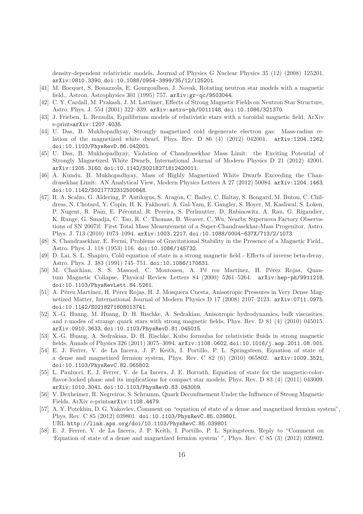density-dependent relativistic models, Journal of Physics G Nuclear Physics 35 (12) (2008) 125201. arXiv:0810.3390, doi:10.1088/0954-3899/35/12/125201.

- [41] M. Bocquet, S. Bonazzola, E. Gourgoulhon, J. Novak, Rotating neutron star models with a magnetic field., Astron. Astrophysics 301 (1995) 757. arXiv:gr-qc/9503044.
- [42] C. Y. Cardall, M. Prakash, J. M. Lattimer, Effects of Strong Magnetic Fields on Neutron Star Structure, Astro. Phys. J. 554 (2001) 322–339. arXiv:astro-ph/0011148, doi:10.1086/321370.
- [43] J. Frieben, L. Rezzolla, Equilibrium models of relativistic stars with a toroidal magnetic field, ArXiv e-printsarXiv:1207.4035.
- [44] U. Das, B. Mukhopadhyay, Strongly magnetized cold degenerate electron gas: Mass-radius relation of the magnetized white dwarf, Phys. Rev. D 86 (4) (2012) 042001. arXiv:1204.1262, doi:10.1103/PhysRevD.86.042001.
- [45] U. Das, B. Mukhopadhyay, Violation of Chandrasekhar Mass Limit: the Exciting Potential of Strongly Magnetized White Dwarfs, International Journal of Modern Physics D 21 (2012) 42001. arXiv:1205.3160, doi:10.1142/S0218271812420011.
- [46] A. Kundu, B. Mukhopadhyay, Mass of Highly Magnetized White Dwarfs Exceeding the Chandrasekhar Limit:. AN Analytical View, Modern Physics Letters A 27 (2012) 50084. arXiv:1204.1463, doi:10.1142/S0217732312500848.
- [47] R. A. Scalzo, G. Aldering, P. Antilogus, S. Aragon, C. Bailey, C. Baltay, S. Bongard, M. Buton, C. Childress, N. Chotard, Y. Copin, H. K. Fakhouri, A. Gal-Yam, E. Gangler, S. Hoyer, M. Kasliwal, S. Loken, P. Nugent, R. Pain, E. Pécontal, R. Pereira, S. Perlmutter, D. Rabinowitz, A. Rau, G. Rigaudier, K. Runge, G. Smadja, C. Tao, R. C. Thomas, B. Weaver, C. Wu, Nearby Supernova Factory Observations of SN 2007if: First Total Mass Measurement of a Super-Chandrasekhar-Mass Progenitor, Astro. Phys. J. 713 (2010) 1073–1094. arXiv:1003.2217, doi:10.1088/0004-637X/713/2/1073.
- [48] S. Chandrasekhar, E. Fermi, Problems of Gravitational Stability in the Presence of a Magnetic Field., Astro. Phys. J. 118 (1953) 116. doi:10.1086/145732.
- [49] D. Lai, S. L. Shapiro, Cold equation of state in a strong magnetic field Effects of inverse beta-decay, Astro. Phys. J. 383 (1991) 745–751. doi:10.1086/170831.
- [50] M. Chaichian, S. S. Masood, C. Montonen, A. Pé rez Martínez, H. Pérez Rojas, Quantum Magnetic Collapse, Physical Review Letters 84 (2000) 5261–5264. arXiv:hep-ph/9911218, doi:10.1103/PhysRevLett.84.5261.
- [51] A. Pérez Martínez, H. Pérez Rojas, H. J. Mosquera Cuesta, Anisotropic Pressures in Very Dense Magnetized Matter, International Journal of Modern Physics D 17 (2008) 2107–2123. arXiv:0711.0975, doi:10.1142/S0218271808013741.
- [52] X.-G. Huang, M. Huang, D. H. Rischke, A. Sedrakian, Anisotropic hydrodynamics, bulk viscosities, and r-modes of strange quark stars with strong magnetic fields, Phys. Rev. D 81 (4) (2010) 045015. arXiv:0910.3633, doi:10.1103/PhysRevD.81.045015.
- [53] X.-G. Huang, A. Sedrakian, D. H. Rischke, Kubo formulas for relativistic fluids in strong magnetic fields, Annals of Physics 326 (2011) 3075–3094. arXiv:1108.0602, doi:10.1016/j.aop.2011.08.001.
- [54] E. J. Ferrer, V. de La Incera, J. P. Keith, I. Portillo, P. L. Springsteen, Equation of state of a dense and magnetized fermion system, Phys. Rev. C  $82(6)$  (2010) 065802. arXiv:1009.3521, doi:10.1103/PhysRevC.82.065802.
- [55] L. Paulucci, E. J. Ferrer, V. de La Incera, J. E. Horvath, Equation of state for the magnetic-colorflavor-locked phase and its implications for compact star models, Phys. Rev. D 83 (4) (2011) 043009. arXiv:1010.3041, doi:10.1103/PhysRevD.83.043009.
- [56] V. Dexheimer, R. Negreiros, S. Schramm, Quark Deconfinement Under the Influence of Strong Magnetic Fields, ArXiv e-printsarXiv:1108.4479.
- [57] A. Y. Potekhin, D. G. Yakovlev, Comment on "equation of state of a dense and magnetized fermion system", Phys. Rev. C 85 (2012) 039801. doi:10.1103/PhysRevC.85.039801. URL http://link.aps.org/doi/10.1103/PhysRevC.85.039801
- [58] E. J. Ferrer, V. de La Incera, J. P. Keith, I. Portillo, P. L. Springsteen, Reply to "Comment on 'Equation of state of a dense and magnetized fermion system' ", Phys. Rev. C 85 (3) (2012) 039802.